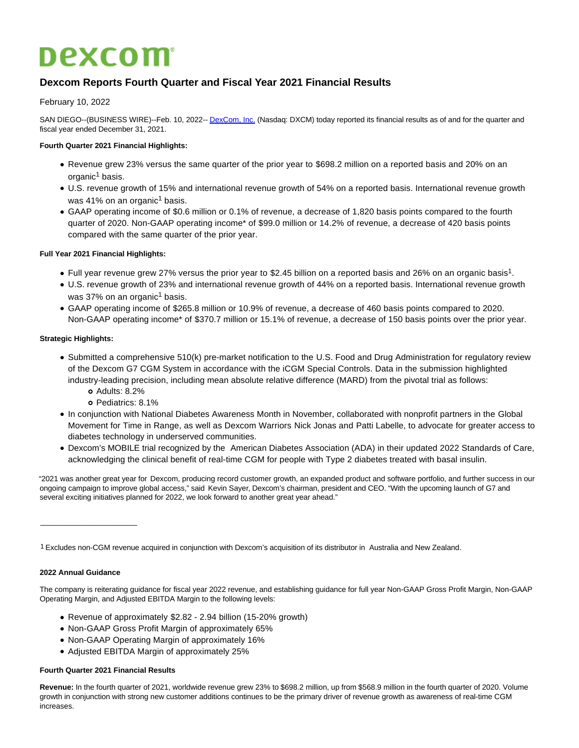# **Dexcom**

# **Dexcom Reports Fourth Quarter and Fiscal Year 2021 Financial Results**

# February 10, 2022

SAN DIEGO--(BUSINESS WIRE)--Feb. 10, 2022-- [DexCom, Inc. \(](https://cts.businesswire.com/ct/CT?id=smartlink&url=https%3A%2F%2Fwww.dexcom.com%2F&esheet=52577067&newsitemid=20220210005207&lan=en-US&anchor=DexCom%2C+Inc.&index=1&md5=5069e18b90f51b2bdc235338b61b08f8)Nasdaq: DXCM) today reported its financial results as of and for the quarter and fiscal year ended December 31, 2021.

# **Fourth Quarter 2021 Financial Highlights:**

- Revenue grew 23% versus the same quarter of the prior year to \$698.2 million on a reported basis and 20% on an organic<sup>1</sup> basis.
- U.S. revenue growth of 15% and international revenue growth of 54% on a reported basis. International revenue growth was 41% on an organic<sup>1</sup> basis.
- GAAP operating income of \$0.6 million or 0.1% of revenue, a decrease of 1,820 basis points compared to the fourth quarter of 2020. Non-GAAP operating income\* of \$99.0 million or 14.2% of revenue, a decrease of 420 basis points compared with the same quarter of the prior year.

# **Full Year 2021 Financial Highlights:**

- Full year revenue grew 27% versus the prior year to \$2.45 billion on a reported basis and 26% on an organic basis<sup>1</sup>.
- U.S. revenue growth of 23% and international revenue growth of 44% on a reported basis. International revenue growth was 37% on an organic<sup>1</sup> basis.
- GAAP operating income of \$265.8 million or 10.9% of revenue, a decrease of 460 basis points compared to 2020. Non-GAAP operating income\* of \$370.7 million or 15.1% of revenue, a decrease of 150 basis points over the prior year.

#### **Strategic Highlights:**

- Submitted a comprehensive 510(k) pre-market notification to the U.S. Food and Drug Administration for regulatory review of the Dexcom G7 CGM System in accordance with the iCGM Special Controls. Data in the submission highlighted industry-leading precision, including mean absolute relative difference (MARD) from the pivotal trial as follows:
	- Adults: 8.2%
	- Pediatrics: 8.1%
- In conjunction with National Diabetes Awareness Month in November, collaborated with nonprofit partners in the Global Movement for Time in Range, as well as Dexcom Warriors Nick Jonas and Patti Labelle, to advocate for greater access to diabetes technology in underserved communities.
- Dexcom's MOBILE trial recognized by the American Diabetes Association (ADA) in their updated 2022 Standards of Care, acknowledging the clinical benefit of real-time CGM for people with Type 2 diabetes treated with basal insulin.

"2021 was another great year for Dexcom, producing record customer growth, an expanded product and software portfolio, and further success in our ongoing campaign to improve global access," said Kevin Sayer, Dexcom's chairman, president and CEO. "With the upcoming launch of G7 and several exciting initiatives planned for 2022, we look forward to another great year ahead."

1 Excludes non-CGM revenue acquired in conjunction with Dexcom's acquisition of its distributor in Australia and New Zealand.

#### **2022 Annual Guidance**

 $\_$ 

The company is reiterating guidance for fiscal year 2022 revenue, and establishing guidance for full year Non-GAAP Gross Profit Margin, Non-GAAP Operating Margin, and Adjusted EBITDA Margin to the following levels:

- Revenue of approximately \$2.82 2.94 billion (15-20% growth)
- Non-GAAP Gross Profit Margin of approximately 65%
- Non-GAAP Operating Margin of approximately 16%
- Adjusted EBITDA Margin of approximately 25%

#### **Fourth Quarter 2021 Financial Results**

**Revenue:** In the fourth quarter of 2021, worldwide revenue grew 23% to \$698.2 million, up from \$568.9 million in the fourth quarter of 2020. Volume growth in conjunction with strong new customer additions continues to be the primary driver of revenue growth as awareness of real-time CGM increases.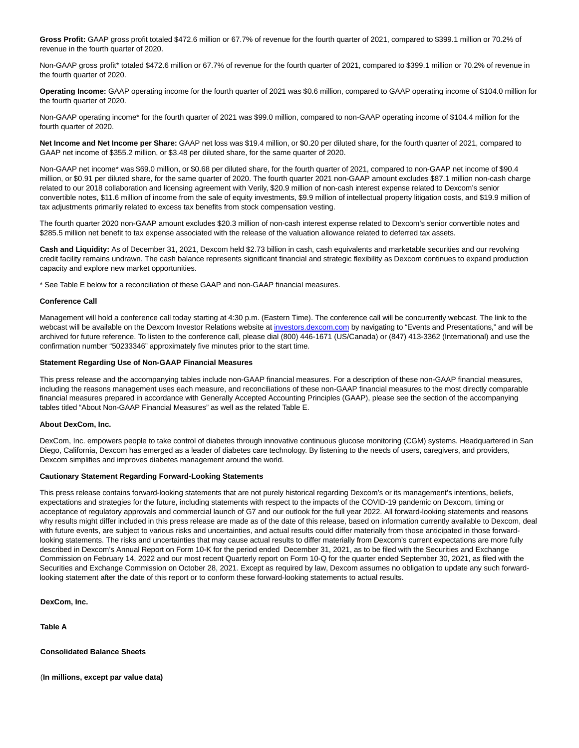**Gross Profit:** GAAP gross profit totaled \$472.6 million or 67.7% of revenue for the fourth quarter of 2021, compared to \$399.1 million or 70.2% of revenue in the fourth quarter of 2020.

Non-GAAP gross profit\* totaled \$472.6 million or 67.7% of revenue for the fourth quarter of 2021, compared to \$399.1 million or 70.2% of revenue in the fourth quarter of 2020.

**Operating Income:** GAAP operating income for the fourth quarter of 2021 was \$0.6 million, compared to GAAP operating income of \$104.0 million for the fourth quarter of 2020.

Non-GAAP operating income\* for the fourth quarter of 2021 was \$99.0 million, compared to non-GAAP operating income of \$104.4 million for the fourth quarter of 2020.

**Net Income and Net Income per Share:** GAAP net loss was \$19.4 million, or \$0.20 per diluted share, for the fourth quarter of 2021, compared to GAAP net income of \$355.2 million, or \$3.48 per diluted share, for the same quarter of 2020.

Non-GAAP net income\* was \$69.0 million, or \$0.68 per diluted share, for the fourth quarter of 2021, compared to non-GAAP net income of \$90.4 million, or \$0.91 per diluted share, for the same quarter of 2020. The fourth quarter 2021 non-GAAP amount excludes \$87.1 million non-cash charge related to our 2018 collaboration and licensing agreement with Verily, \$20.9 million of non-cash interest expense related to Dexcom's senior convertible notes, \$11.6 million of income from the sale of equity investments, \$9.9 million of intellectual property litigation costs, and \$19.9 million of tax adjustments primarily related to excess tax benefits from stock compensation vesting.

The fourth quarter 2020 non-GAAP amount excludes \$20.3 million of non-cash interest expense related to Dexcom's senior convertible notes and \$285.5 million net benefit to tax expense associated with the release of the valuation allowance related to deferred tax assets.

**Cash and Liquidity:** As of December 31, 2021, Dexcom held \$2.73 billion in cash, cash equivalents and marketable securities and our revolving credit facility remains undrawn. The cash balance represents significant financial and strategic flexibility as Dexcom continues to expand production capacity and explore new market opportunities.

\* See Table E below for a reconciliation of these GAAP and non-GAAP financial measures.

#### **Conference Call**

Management will hold a conference call today starting at 4:30 p.m. (Eastern Time). The conference call will be concurrently webcast. The link to the webcast will be available on the Dexcom Investor Relations website at [investors.dexcom.com b](http://investors.dexcom.com/)y navigating to "Events and Presentations," and will be archived for future reference. To listen to the conference call, please dial (800) 446-1671 (US/Canada) or (847) 413-3362 (International) and use the confirmation number "50233346" approximately five minutes prior to the start time.

#### **Statement Regarding Use of Non-GAAP Financial Measures**

This press release and the accompanying tables include non-GAAP financial measures. For a description of these non-GAAP financial measures, including the reasons management uses each measure, and reconciliations of these non-GAAP financial measures to the most directly comparable financial measures prepared in accordance with Generally Accepted Accounting Principles (GAAP), please see the section of the accompanying tables titled "About Non-GAAP Financial Measures" as well as the related Table E.

#### **About DexCom, Inc.**

DexCom, Inc. empowers people to take control of diabetes through innovative continuous glucose monitoring (CGM) systems. Headquartered in San Diego, California, Dexcom has emerged as a leader of diabetes care technology. By listening to the needs of users, caregivers, and providers, Dexcom simplifies and improves diabetes management around the world.

#### **Cautionary Statement Regarding Forward-Looking Statements**

This press release contains forward-looking statements that are not purely historical regarding Dexcom's or its management's intentions, beliefs, expectations and strategies for the future, including statements with respect to the impacts of the COVID-19 pandemic on Dexcom, timing or acceptance of regulatory approvals and commercial launch of G7 and our outlook for the full year 2022. All forward-looking statements and reasons why results might differ included in this press release are made as of the date of this release, based on information currently available to Dexcom, deal with future events, are subject to various risks and uncertainties, and actual results could differ materially from those anticipated in those forwardlooking statements. The risks and uncertainties that may cause actual results to differ materially from Dexcom's current expectations are more fully described in Dexcom's Annual Report on Form 10-K for the period ended December 31, 2021, as to be filed with the Securities and Exchange Commission on February 14, 2022 and our most recent Quarterly report on Form 10-Q for the quarter ended September 30, 2021, as filed with the Securities and Exchange Commission on October 28, 2021. Except as required by law, Dexcom assumes no obligation to update any such forwardlooking statement after the date of this report or to conform these forward-looking statements to actual results.

**DexCom, Inc.**

**Table A**

**Consolidated Balance Sheets**

(**In millions, except par value data)**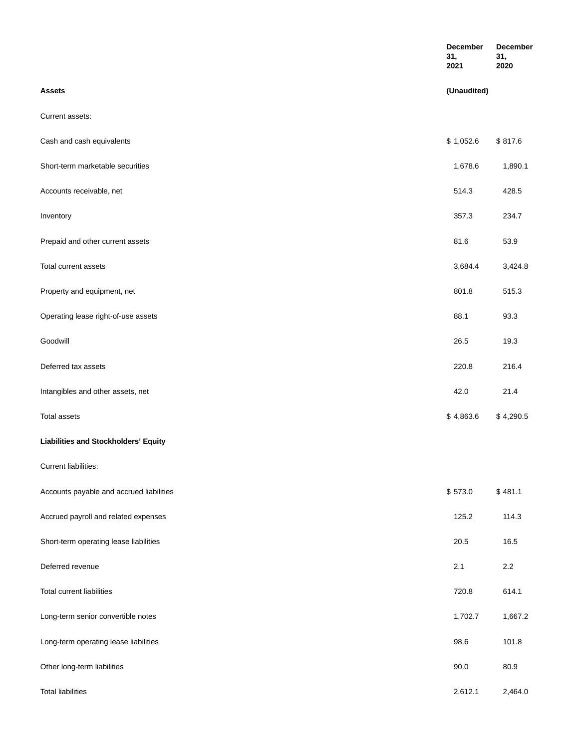|                                          | December<br>31,<br>2021 | December<br>31,<br>2020 |
|------------------------------------------|-------------------------|-------------------------|
| Assets                                   | (Unaudited)             |                         |
| Current assets:                          |                         |                         |
| Cash and cash equivalents                | \$1,052.6               | \$817.6                 |
| Short-term marketable securities         | 1,678.6                 | 1,890.1                 |
| Accounts receivable, net                 | 514.3                   | 428.5                   |
| Inventory                                | 357.3                   | 234.7                   |
| Prepaid and other current assets         | 81.6                    | 53.9                    |
| Total current assets                     | 3,684.4                 | 3,424.8                 |
| Property and equipment, net              | 801.8                   | 515.3                   |
| Operating lease right-of-use assets      | 88.1                    | 93.3                    |
| Goodwill                                 | 26.5                    | 19.3                    |
| Deferred tax assets                      | 220.8                   | 216.4                   |
| Intangibles and other assets, net        | 42.0                    | 21.4                    |
| <b>Total assets</b>                      | \$4,863.6               | \$4,290.5               |
| Liabilities and Stockholders' Equity     |                         |                         |
| Current liabilities:                     |                         |                         |
| Accounts payable and accrued liabilities | \$573.0                 | \$481.1                 |
| Accrued payroll and related expenses     | 125.2                   | 114.3                   |
| Short-term operating lease liabilities   | 20.5                    | 16.5                    |
| Deferred revenue                         | 2.1                     | 2.2                     |
| <b>Total current liabilities</b>         | 720.8                   | 614.1                   |
| Long-term senior convertible notes       | 1,702.7                 | 1,667.2                 |
| Long-term operating lease liabilities    | 98.6                    | 101.8                   |
| Other long-term liabilities              | 90.0                    | 80.9                    |
| <b>Total liabilities</b>                 | 2,612.1                 | 2,464.0                 |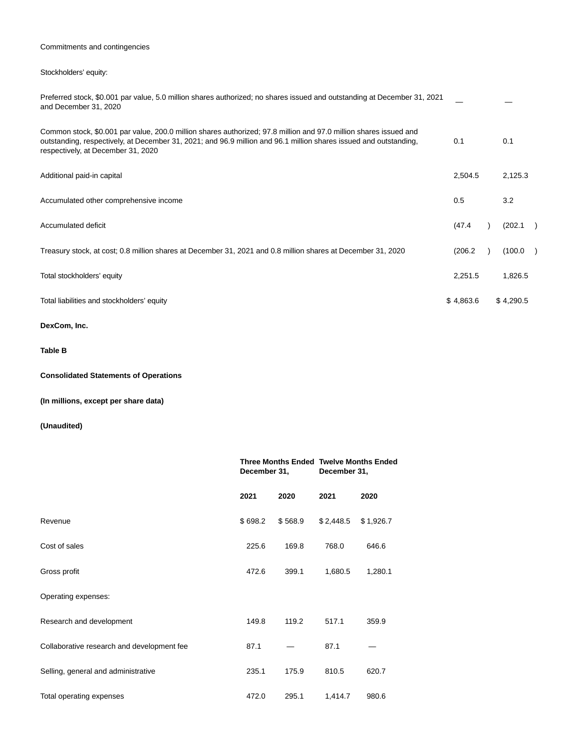# Commitments and contingencies

# Stockholders' equity:

| Preferred stock, \$0.001 par value, 5.0 million shares authorized; no shares issued and outstanding at December 31, 2021<br>and December 31, 2020                                                                                                                            |           |           |  |
|------------------------------------------------------------------------------------------------------------------------------------------------------------------------------------------------------------------------------------------------------------------------------|-----------|-----------|--|
| Common stock, \$0.001 par value, 200.0 million shares authorized; 97.8 million and 97.0 million shares issued and<br>outstanding, respectively, at December 31, 2021; and 96.9 million and 96.1 million shares issued and outstanding,<br>respectively, at December 31, 2020 | 0.1       | 0.1       |  |
| Additional paid-in capital                                                                                                                                                                                                                                                   | 2,504.5   | 2,125.3   |  |
| Accumulated other comprehensive income                                                                                                                                                                                                                                       | 0.5       | 3.2       |  |
| Accumulated deficit                                                                                                                                                                                                                                                          | (47.4)    | (202.1)   |  |
| Treasury stock, at cost; 0.8 million shares at December 31, 2021 and 0.8 million shares at December 31, 2020                                                                                                                                                                 | (206.2)   | (100.0    |  |
| Total stockholders' equity                                                                                                                                                                                                                                                   | 2,251.5   | 1,826.5   |  |
| Total liabilities and stockholders' equity                                                                                                                                                                                                                                   | \$4,863.6 | \$4,290.5 |  |

# **DexCom, Inc.**

# **Table B**

# **Consolidated Statements of Operations**

# **(In millions, except per share data)**

|                                            | <b>Three Months Ended Twelve Months Ended</b><br>December 31, |         | December 31, |           |  |
|--------------------------------------------|---------------------------------------------------------------|---------|--------------|-----------|--|
|                                            | 2021                                                          | 2020    | 2021         | 2020      |  |
| Revenue                                    | \$698.2                                                       | \$568.9 | \$2,448.5    | \$1,926.7 |  |
| Cost of sales                              | 225.6                                                         | 169.8   | 768.0        | 646.6     |  |
| Gross profit                               | 472.6                                                         | 399.1   | 1,680.5      | 1,280.1   |  |
| Operating expenses:                        |                                                               |         |              |           |  |
| Research and development                   | 149.8                                                         | 119.2   | 517.1        | 359.9     |  |
| Collaborative research and development fee | 87.1                                                          |         | 87.1         |           |  |
| Selling, general and administrative        | 235.1                                                         | 175.9   | 810.5        | 620.7     |  |
| Total operating expenses                   | 472.0                                                         | 295.1   | 1,414.7      | 980.6     |  |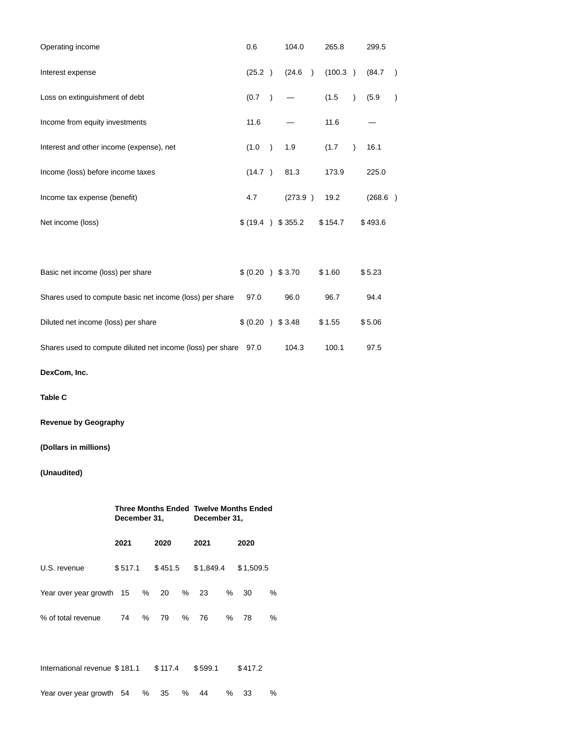| Operating income                                                | 0.6    |           | 104.0             |               | 265.8   |           | 299.5   |               |
|-----------------------------------------------------------------|--------|-----------|-------------------|---------------|---------|-----------|---------|---------------|
| Interest expense                                                | (25.2) |           | (24.6)            | $\rightarrow$ | (100.3) |           | (84.7)  | $\lambda$     |
| Loss on extinguishment of debt                                  | (0.7)  | $\lambda$ |                   |               | (1.5)   | $\lambda$ | (5.9)   | $\mathcal{E}$ |
| Income from equity investments                                  | 11.6   |           |                   |               | 11.6    |           |         |               |
| Interest and other income (expense), net                        | (1.0)  | $\lambda$ | 1.9               |               | (1.7)   |           | 16.1    |               |
| Income (loss) before income taxes                               | (14.7) |           | 81.3              |               | 173.9   |           | 225.0   |               |
| Income tax expense (benefit)                                    | 4.7    |           | (273.9)           |               | 19.2    |           | (268.6) |               |
| Net income (loss)                                               |        |           | \$ (19.4) \$355.2 |               | \$154.7 |           | \$493.6 |               |
|                                                                 |        |           |                   |               |         |           |         |               |
| Basic net income (loss) per share                               |        |           | \$ (0.20 ) \$3.70 |               | \$1.60  |           | \$5.23  |               |
| Shares used to compute basic net income (loss) per share        | 97.0   |           | 96.0              |               | 96.7    |           | 94.4    |               |
| Diluted net income (loss) per share                             |        |           | \$ (0.20 ) \$3.48 |               | \$1.55  |           | \$5.06  |               |
| Shares used to compute diluted net income (loss) per share 97.0 |        |           | 104.3             |               | 100.1   |           | 97.5    |               |

**DexCom, Inc.**

**Table C**

**Revenue by Geography**

# **(Dollars in millions)**

|                               | December 31, |   |         | Three Months Ended Twelve Months Ended<br>December 31, |           |   |           |   |
|-------------------------------|--------------|---|---------|--------------------------------------------------------|-----------|---|-----------|---|
|                               | 2021         |   | 2020    |                                                        | 2021      |   | 2020      |   |
| U.S. revenue                  | \$517.1      |   | \$451.5 |                                                        | \$1,849.4 |   | \$1,509.5 |   |
| Year over year growth 15 %    |              |   | 20      | %                                                      | 23        | % | 30        | % |
| % of total revenue            | 74           | % | 79      | %                                                      | 76        | % | 78        | % |
|                               |              |   |         |                                                        |           |   |           |   |
| International revenue \$181.1 |              |   | \$117.4 |                                                        | \$599.1   |   | \$417.2   |   |
| Year over year growth 54      |              | % | 35      | %                                                      | 44        | ℅ | 33        | ℅ |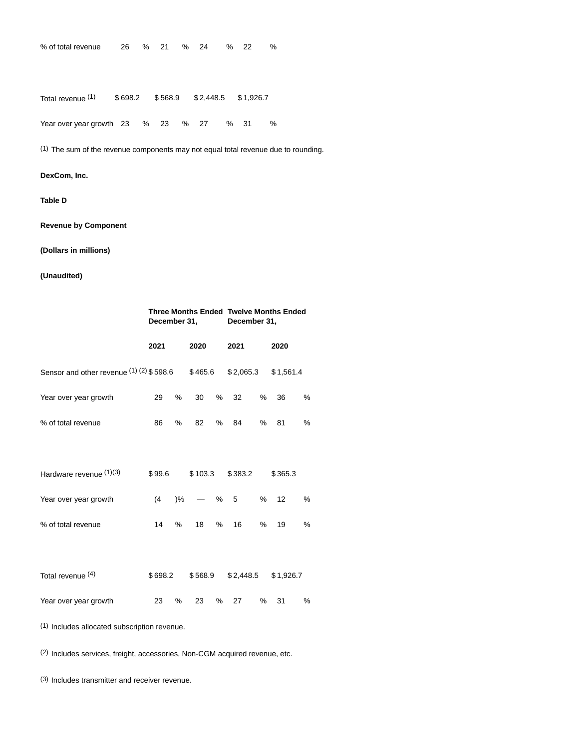| % of total revenue                 |  | 26 % 21 | % 24                         | % | -22       | ℅ |
|------------------------------------|--|---------|------------------------------|---|-----------|---|
|                                    |  |         |                              |   |           |   |
|                                    |  |         |                              |   |           |   |
|                                    |  |         |                              |   |           |   |
| Total revenue (1)                  |  |         | $$698.2$ $$568.9$ $$2,448.5$ |   | \$1.926.7 |   |
|                                    |  |         |                              |   |           |   |
| Year over year growth 23 % 23 % 27 |  |         |                              |   | %31       | % |
|                                    |  |         |                              |   |           |   |
|                                    |  |         |                              |   |           |   |

(1) The sum of the revenue components may not equal total revenue due to rounding.

# **DexCom, Inc.**

## **Table D**

**Revenue by Component**

**(Dollars in millions)**

# **(Unaudited)**

|                                                                      | December 31, |         |               | <b>Three Months Ended Twelve Months Ended</b><br>December 31, |   |           |   |           |   |
|----------------------------------------------------------------------|--------------|---------|---------------|---------------------------------------------------------------|---|-----------|---|-----------|---|
|                                                                      |              | 2021    |               | 2020                                                          |   | 2021      |   | 2020      |   |
| Sensor and other revenue (1) (2) \$598.6 \$465.6 \$2,065.3 \$1,561.4 |              |         |               |                                                               |   |           |   |           |   |
| Year over year growth                                                |              | 29      | %             | 30                                                            | % | 32        | % | 36        | % |
| % of total revenue                                                   |              | 86      | %             | 82                                                            | % | 84        | % | 81        | % |
|                                                                      |              |         |               |                                                               |   |           |   |           |   |
| Hardware revenue (1)(3)                                              |              | \$99.6  |               | \$103.3                                                       |   | \$383.2   |   | \$365.3   |   |
| Year over year growth                                                |              | (4)     | $\frac{9}{6}$ |                                                               | % | 5         | % | 12        | % |
| % of total revenue                                                   |              | 14      | %             | 18                                                            | % | 16        | % | 19        | % |
|                                                                      |              |         |               |                                                               |   |           |   |           |   |
| Total revenue (4)                                                    |              | \$698.2 |               | \$568.9                                                       |   | \$2,448.5 |   | \$1,926.7 |   |
| Year over year growth                                                |              | 23      | %             | 23                                                            | % | 27        | % | 31        | % |
| (1) Includes allocated subscription revenue.                         |              |         |               |                                                               |   |           |   |           |   |

(2) Includes services, freight, accessories, Non-CGM acquired revenue, etc.

(3) Includes transmitter and receiver revenue.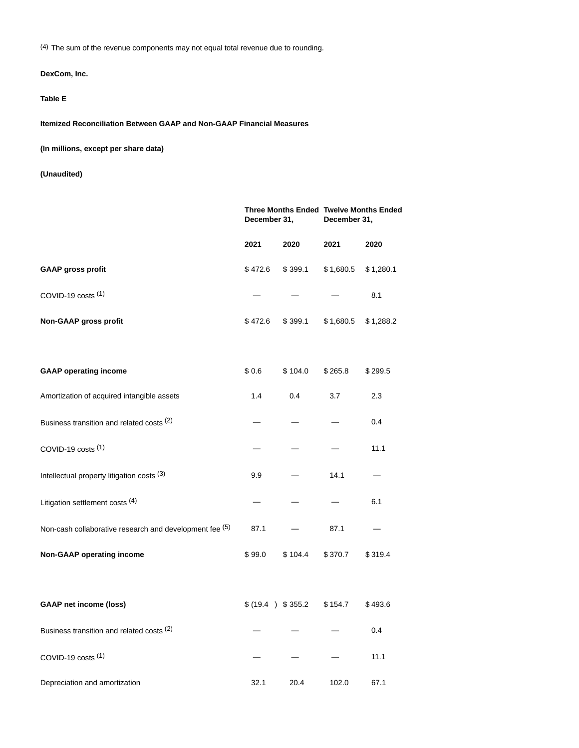(4) The sum of the revenue components may not equal total revenue due to rounding.

# **DexCom, Inc.**

# **Table E**

**Itemized Reconciliation Between GAAP and Non-GAAP Financial Measures**

**(In millions, except per share data)**

|                                                         | Three Months Ended Twelve Months Ended<br>December 31, |                   | December 31, |           |  |
|---------------------------------------------------------|--------------------------------------------------------|-------------------|--------------|-----------|--|
|                                                         | 2021                                                   | 2020              | 2021         | 2020      |  |
| <b>GAAP gross profit</b>                                | \$472.6                                                | \$399.1           | \$1,680.5    | \$1,280.1 |  |
| COVID-19 costs $(1)$                                    |                                                        |                   |              | 8.1       |  |
| Non-GAAP gross profit                                   | \$472.6                                                | \$399.1           | \$1,680.5    | \$1,288.2 |  |
| <b>GAAP operating income</b>                            | \$0.6                                                  | \$104.0           | \$265.8      | \$299.5   |  |
| Amortization of acquired intangible assets              | 1.4                                                    | 0.4               | 3.7          | 2.3       |  |
| Business transition and related costs (2)               |                                                        |                   |              | 0.4       |  |
| COVID-19 costs (1)                                      |                                                        |                   |              | 11.1      |  |
| Intellectual property litigation costs (3)              | 9.9                                                    |                   | 14.1         |           |  |
| Litigation settlement costs (4)                         |                                                        |                   |              | 6.1       |  |
| Non-cash collaborative research and development fee (5) | 87.1                                                   |                   | 87.1         |           |  |
| <b>Non-GAAP operating income</b>                        | \$99.0                                                 | \$104.4           | \$370.7      | \$319.4   |  |
| <b>GAAP net income (loss)</b>                           |                                                        | \$ (19.4) \$355.2 | \$154.7      | \$493.6   |  |
| Business transition and related costs (2)               |                                                        |                   |              | 0.4       |  |
| COVID-19 costs (1)                                      |                                                        |                   |              | 11.1      |  |
| Depreciation and amortization                           | 32.1                                                   | 20.4              | 102.0        | 67.1      |  |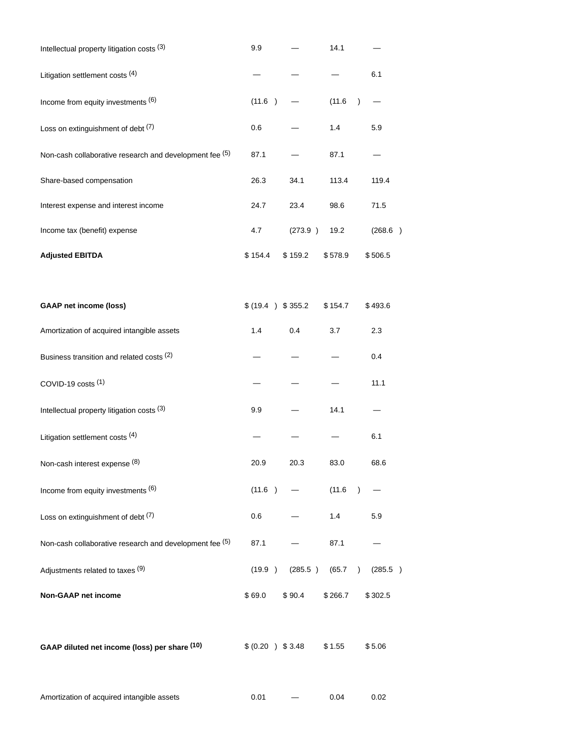| Intellectual property litigation costs (3)              | 9.9                |         | 14.1    |                      |
|---------------------------------------------------------|--------------------|---------|---------|----------------------|
| Litigation settlement costs (4)                         |                    |         |         | 6.1                  |
| Income from equity investments (6)                      | (11.6)             |         | (11.6)  | $\lambda$            |
| Loss on extinguishment of debt (7)                      | 0.6                |         | 1.4     | 5.9                  |
| Non-cash collaborative research and development fee (5) | 87.1               |         | 87.1    |                      |
| Share-based compensation                                | 26.3               | 34.1    | 113.4   | 119.4                |
| Interest expense and interest income                    | 24.7               | 23.4    | 98.6    | 71.5                 |
| Income tax (benefit) expense                            | 4.7                | (273.9) | 19.2    | (268.6)              |
| <b>Adjusted EBITDA</b>                                  | \$154.4            | \$159.2 | \$578.9 | \$506.5              |
| <b>GAAP net income (loss)</b>                           | \$ (19.4 ) \$355.2 |         | \$154.7 | \$493.6              |
| Amortization of acquired intangible assets              | 1.4                | 0.4     | 3.7     | 2.3                  |
| Business transition and related costs (2)               |                    |         |         | 0.4                  |
| COVID-19 costs (1)                                      |                    |         |         | 11.1                 |
| Intellectual property litigation costs (3)              | 9.9                |         | 14.1    |                      |
| Litigation settlement costs (4)                         |                    |         |         | 6.1                  |
| Non-cash interest expense (8)                           | 20.9               | 20.3    | 83.0    | 68.6                 |
| Income from equity investments (6)                      | (11.6)             |         | (11.6)  | $\lambda$            |
| Loss on extinguishment of debt (7)                      | 0.6                |         | 1.4     | 5.9                  |
| Non-cash collaborative research and development fee (5) | 87.1               |         | 87.1    |                      |
| Adjustments related to taxes (9)                        | (19.9)             | (285.5) | (65.7)  | (285.5)<br>$\lambda$ |
| Non-GAAP net income                                     | \$69.0             | \$90.4  | \$266.7 | \$302.5              |
| GAAP diluted net income (loss) per share (10)           | \$ (0.20 ) \$3.48  |         | \$1.55  | \$5.06               |
| Amortization of acquired intangible assets              | 0.01               |         | 0.04    | 0.02                 |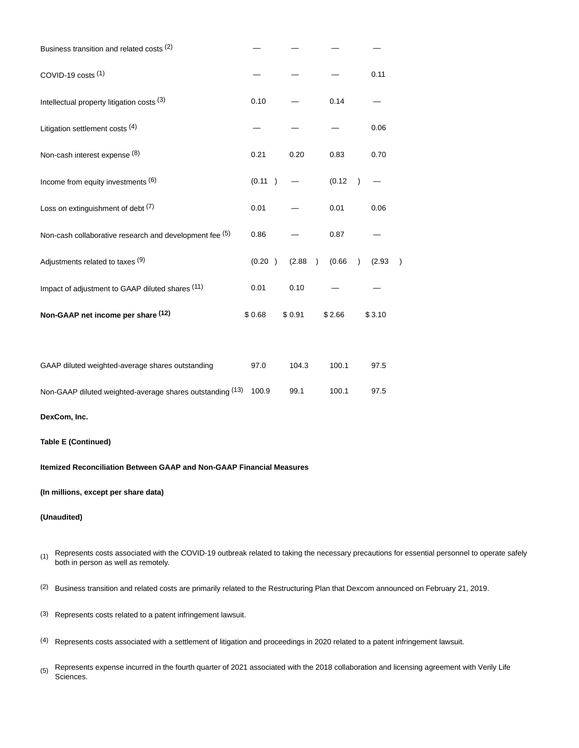| Business transition and related costs (2)               |        |        |                     |                     |  |
|---------------------------------------------------------|--------|--------|---------------------|---------------------|--|
| COVID-19 costs (1)                                      |        |        |                     | 0.11                |  |
| Intellectual property litigation costs (3)              | 0.10   |        | 0.14                |                     |  |
| Litigation settlement costs (4)                         |        |        |                     | 0.06                |  |
| Non-cash interest expense (8)                           | 0.21   | 0.20   | 0.83                | 0.70                |  |
| Income from equity investments (6)                      | (0.11) |        | (0.12)              |                     |  |
| Loss on extinguishment of debt (7)                      | 0.01   |        | 0.01                | 0.06                |  |
| Non-cash collaborative research and development fee (5) | 0.86   |        | 0.87                |                     |  |
| Adjustments related to taxes (9)                        | (0.20) | (2.88) | (0.66)<br>$\lambda$ | (2.93)<br>$\lambda$ |  |
| Impact of adjustment to GAAP diluted shares (11)        | 0.01   | 0.10   |                     |                     |  |
| Non-GAAP net income per share (12)                      | \$0.68 | \$0.91 | \$2.66              | \$3.10              |  |
|                                                         |        |        |                     |                     |  |

| GAAP diluted weighted-average shares outstanding                | 97.0 | 104.3 | 100.1 | 97.5 |
|-----------------------------------------------------------------|------|-------|-------|------|
| Non-GAAP diluted weighted-average shares outstanding (13) 100.9 |      | 99.1  | 100.1 | 97.5 |

**DexCom, Inc.**

### **Table E (Continued)**

**Itemized Reconciliation Between GAAP and Non-GAAP Financial Measures**

#### **(In millions, except per share data)**

- (1) Represents costs associated with the COVID-19 outbreak related to taking the necessary precautions for essential personnel to operate safely both in person as well as remotely.
- (2) Business transition and related costs are primarily related to the Restructuring Plan that Dexcom announced on February 21, 2019.
- (3) Represents costs related to a patent infringement lawsuit.
- (4) Represents costs associated with a settlement of litigation and proceedings in 2020 related to a patent infringement lawsuit.
- $(5)$  Represents expense incurred in the fourth quarter of 2021 associated with the 2018 collaboration and licensing agreement with Verily Life Sciences.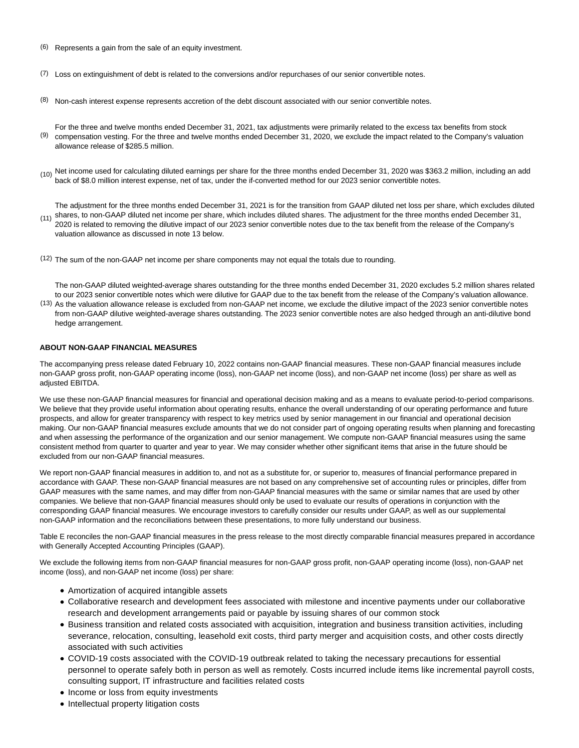- (6) Represents a gain from the sale of an equity investment.
- $(7)$  Loss on extinguishment of debt is related to the conversions and/or repurchases of our senior convertible notes.
- (8) Non-cash interest expense represents accretion of the debt discount associated with our senior convertible notes.
- <sup>(9)</sup> compensation vesting. For the three and twelve months ended December 31, 2020, we exclude the impact related to the Company's valuation For the three and twelve months ended December 31, 2021, tax adjustments were primarily related to the excess tax benefits from stock allowance release of \$285.5 million.
- (10) Net income used for calculating diluted earnings per share for the three months ended December 31, 2020 was \$363.2 million, including an add back of \$8.0 million interest expense, net of tax, under the if-converted method for our 2023 senior convertible notes.

(11) shares, to non-GAAP diluted net income per share, which includes diluted shares. The adjustment for the three months ended December 31, The adjustment for the three months ended December 31, 2021 is for the transition from GAAP diluted net loss per share, which excludes diluted 2020 is related to removing the dilutive impact of our 2023 senior convertible notes due to the tax benefit from the release of the Company's valuation allowance as discussed in note 13 below.

(12) The sum of the non-GAAP net income per share components may not equal the totals due to rounding.

<sup>(13)</sup> As the valuation allowance release is excluded from non-GAAP net income, we exclude the dilutive impact of the 2023 senior convertible notes The non-GAAP diluted weighted-average shares outstanding for the three months ended December 31, 2020 excludes 5.2 million shares related to our 2023 senior convertible notes which were dilutive for GAAP due to the tax benefit from the release of the Company's valuation allowance. from non-GAAP dilutive weighted-average shares outstanding. The 2023 senior convertible notes are also hedged through an anti-dilutive bond

#### **ABOUT NON-GAAP FINANCIAL MEASURES**

hedge arrangement.

The accompanying press release dated February 10, 2022 contains non-GAAP financial measures. These non-GAAP financial measures include non-GAAP gross profit, non-GAAP operating income (loss), non-GAAP net income (loss), and non-GAAP net income (loss) per share as well as adjusted EBITDA.

We use these non-GAAP financial measures for financial and operational decision making and as a means to evaluate period-to-period comparisons. We believe that they provide useful information about operating results, enhance the overall understanding of our operating performance and future prospects, and allow for greater transparency with respect to key metrics used by senior management in our financial and operational decision making. Our non-GAAP financial measures exclude amounts that we do not consider part of ongoing operating results when planning and forecasting and when assessing the performance of the organization and our senior management. We compute non-GAAP financial measures using the same consistent method from quarter to quarter and year to year. We may consider whether other significant items that arise in the future should be excluded from our non-GAAP financial measures.

We report non-GAAP financial measures in addition to, and not as a substitute for, or superior to, measures of financial performance prepared in accordance with GAAP. These non-GAAP financial measures are not based on any comprehensive set of accounting rules or principles, differ from GAAP measures with the same names, and may differ from non-GAAP financial measures with the same or similar names that are used by other companies. We believe that non-GAAP financial measures should only be used to evaluate our results of operations in conjunction with the corresponding GAAP financial measures. We encourage investors to carefully consider our results under GAAP, as well as our supplemental non-GAAP information and the reconciliations between these presentations, to more fully understand our business.

Table E reconciles the non-GAAP financial measures in the press release to the most directly comparable financial measures prepared in accordance with Generally Accepted Accounting Principles (GAAP).

We exclude the following items from non-GAAP financial measures for non-GAAP gross profit, non-GAAP operating income (loss), non-GAAP net income (loss), and non-GAAP net income (loss) per share:

- Amortization of acquired intangible assets
- Collaborative research and development fees associated with milestone and incentive payments under our collaborative research and development arrangements paid or payable by issuing shares of our common stock
- Business transition and related costs associated with acquisition, integration and business transition activities, including severance, relocation, consulting, leasehold exit costs, third party merger and acquisition costs, and other costs directly associated with such activities
- COVID-19 costs associated with the COVID-19 outbreak related to taking the necessary precautions for essential personnel to operate safely both in person as well as remotely. Costs incurred include items like incremental payroll costs, consulting support, IT infrastructure and facilities related costs
- Income or loss from equity investments
- Intellectual property litigation costs